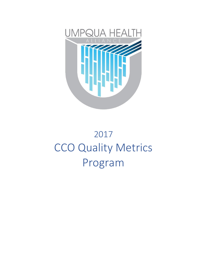

# 2017 CCO Quality Metrics Program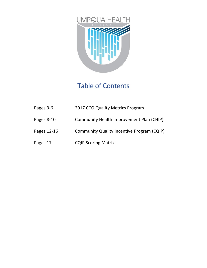

## Table of Contents

- Pages 3-6 2017 CCO Quality Metrics Program
- Pages 8-10 Community Health Improvement Plan (CHIP)
- Pages 12-16 Community Quality Incentive Program (CQIP)
- Pages 17 CQIP Scoring Matrix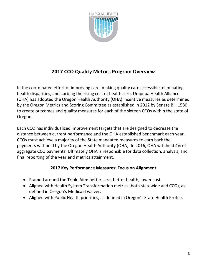

## **2017 CCO Quality Metrics Program Overview**

In the coordinated effort of improving care, making quality care accessible, eliminating health disparities, and curbing the rising cost of health care, Umpqua Health Alliance (UHA) has adopted the Oregon Health Authority (OHA) incentive measures as determined by the Oregon Metrics and Scoring Committee as established in 2012 by Senate Bill 1580 to create outcomes and quality measures for each of the sixteen CCOs within the state of Oregon.

Each CCO has individualized improvement targets that are designed to decrease the distance between current performance and the OHA established benchmark each year. CCOs must achieve a majority of the State mandated measures to earn back the payments withheld by the Oregon Health Authority (OHA). In 2016, OHA withheld 4% of aggregate CCO payments. Ultimately OHA is responsible for data collection, analysis, and final reporting of the year end metrics attainment.

## **2017 Key Performance Measures: Focus on Alignment**

- Framed around the Triple Aim: better care, better health, lower cost.
- Aligned with Health System Transformation metrics (both statewide and CCO), as defined in Oregon's Medicaid waiver.
- Aligned with Public Health priorities, as defined in Oregon's State Health Profile.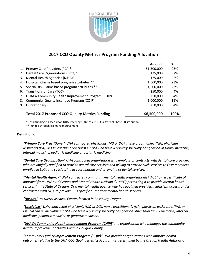

## **2017 CCO Quality Metrics Program Funding Allocation**

|    |                                                        | Amount      | <u>%</u> |
|----|--------------------------------------------------------|-------------|----------|
|    | 1. Primary Care Providers (PCP)*                       | \$1,500,000 | 23%      |
| 2. | Dental Care Organizations (DCO)*                       | 125,000     | 2%       |
|    | 3. Mental Health Agencies (MHA)*                       | 125,000     | 2%       |
|    | 4. Hospital, Claims based program attributes **        | 1,500,000   | 23%      |
| 5. | Specialists, Claims based program attributes **        | 1,500,000   | 23%      |
| 6. | Transitions of Care (TOC)                              | 250,000     | 4%       |
| 7. | UHACA Community Health Improvement Program (CHIP)      | 250,000     | 4%       |
|    | 8. Community Quality Incentive Program (CQIP)          | 1,000,000   | 15%      |
| 9. | Discretionary                                          | 250,000     | 4%       |
|    | <b>Total 2017 Proposed CCO Quality Metrics Funding</b> | \$6,500,000 | 100%     |
|    |                                                        |             |          |

\* Total funding is based upon UHA receiving 100% of 2017 Quality Pool Phase I Distribution

\*\* Funded through claims reimbursement

## **Definitions:**

*"Primary Care Practitioner" UHA contracted physicians (MD or DO), nurse practitioners (NP), physician assistants (PA), or Clinical Nurse Specialists (CNS) who have a primary specialty designation of family medicine, internal medicine, pediatric medicine or geriatric medicine.*

*"Dental Care Organization" UHA contracted organization who employs or contracts with dental care providers who are lawfully qualified to provide dental care services and willing to provide such services to OHP members enrolled in UHA and specializing in coordinating and arranging of dental services.* 

*"Mental Health Agency" UHA contracted community mental health organization(s) that hold a certificate of approval from OHA's Addictions and Mental Health Division ("AMH") permitting it to provide mental health services in the State of Oregon. Or a mental health agency who has qualified providers, sufficient access, and is contracted with UHA to provide CCO specific outpatient mental health services.* 

*"Hospital" as Mercy Medical Center, located in Roseburg, Oregon.*

*"Specialists" UHA contracted physician's (MD or DO), nurse practitioner's (NP), physician assistant's (PA), or Clinical Nurse Specialist's (CNS) who have a primary specialty designation other than family medicine, internal medicine, pediatric medicine or geriatric medicine.*

*"UHACA Community Health Improvement Program (CHIP)" the organization who manages the community health improvement activities within Douglas County.*

*"Community Quality Improvement Program (CQIP)" UHA provider organizations who improve health outcomes relative to the UHA CCO Quality Metrics Program as determined by the Oregon Health Authority.*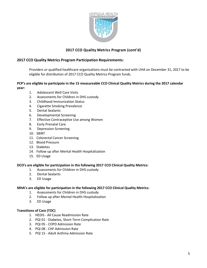

## **2017 CCO Quality Metrics Program (cont'd)**

## **2017 CCO Quality Metrics Program Participation Requirements:**

Providers or qualified healthcare organizations must be contracted with UHA on December 31, 2017 to be eligible for distribution of 2017 CCO Quality Metrics Program funds.

### **PCP's are eligible to participate in the 15 measureable CCO Clinical Quality Metrics during the 2017 calendar year:**

- 1. Adolescent Well Care Visits
- 2. Assessments for Children in DHS custody
- 3. Childhood Immunization Status
- 4. Cigarette Smoking Prevalence
- 5. Dental Sealants
- 6. Developmental Screening
- 7. Effective Contraceptive Use among Women
- 8. Early Prenatal Care
- 9. Depression Screening
- 10. SBIRT
- 11. Colorectal Cancer Screening
- 12. Blood Pressure
- 13. Diabetes
- 14. Follow up after Mental Health Hospitalization
- 15. ED Usage

#### **DCO's are eligible for participation in the following 2017 CCO Clinical Quality Metrics:**

- 1. Assessments for Children in DHS custody
- 2. Dental Sealants
- 3. ED Usage

#### **MHA's are eligible for participation in the following 2017 CCO Clinical Quality Metrics:**

- 1. Assessments for Children in DHS custody
- 2. Follow up after Mental Health Hospitalization
- 3. ED Usage

### **Transitions of Care (TOC)**

- 1. HEDIS All Cause Readmission Rate
- 2. PQI 01 Diabetes, Short-Term Complication Rate
- 3. PQI 05 COPD Admission Rate
- 4. PQI 08 CHF Admission Rate
- 5. PQI 15 Adult Asthma Admission Rate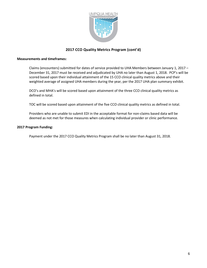

## **2017 CCO Quality Metrics Program (cont'd)**

#### **Measurements and timeframes:**

Claims (encounters) submitted for dates of service provided to UHA Members between January 1, 2017 – December 31, 2017 must be received and adjudicated by UHA no later than August 1, 2018. PCP's will be scored based upon their individual attainment of the 15 CCO clinical quality metrics above and their weighted average of assigned UHA members during the year, per the 2017 UHA plan summary exhibit.

DCO's and MHA's will be scored based upon attainment of the three CCO clinical quality metrics as defined in total.

TOC will be scored based upon attainment of the five CCO clinical quality metrics as defined in total.

Providers who are unable to submit EDI in the acceptable format for non-claims based data will be deemed as not met for those measures when calculating individual provider or clinic performance.

#### **2017 Program Funding:**

Payment under the 2017 CCO Quality Metrics Program shall be no later than August 31, 2018.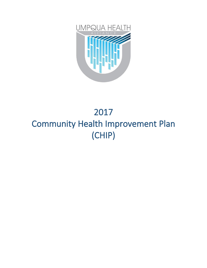

## 2017 Community Health Improvement Plan (CHIP)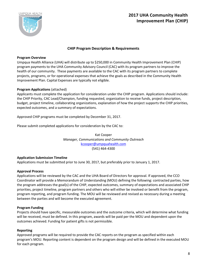

## **2017 UHA Community Health Improvement Plan (CHIP)**

## **CHIP Program Description & Requirements**

### **Program Overview**

Umpqua Health Alliance (UHA) will distribute up to \$250,000 in Community Health Improvement Plan (CHIP) program payments to the UHA Community Advisory Council (CAC) with its program partners to improve the health of our community. These payments are available to the CAC with its program partners to complete projects, programs, or for operational expenses that achieve the goals as described in the Community Health Improvement Plan. Capital Expenses are typically not eligible.

## **Program Applications** (attached)

Applicants must complete the application for consideration under the CHIP program. Applications should include: the CHIP Priority, CAC Lead/Champion, funding requested, organization to receive funds, project description, budget, project timeline, collaborating organizations, explanation of how the project supports the CHIP priorities, expected outcomes, and a summary of expectations.

Approved CHIP programs must be completed by December 31, 2017.

Please submit completed applications for consideration by the CAC to:

Kat Cooper *Manager, Communications and Community Outreach* [kcooper@umpquahealth.com](mailto:kcooper@umpquahealth.com) (541) 464-4300

## **Application Submission Timeline**

Applications must be submitted prior to June 30, 2017, but preferably prior to January 1, 2017.

## **Approval Process**

Applications will be reviewed by the CAC and the UHA Board of Directors for approval. If approved, the CCO Coordinator will provide a Memorandum of Understanding (MOU) defining the following: contracted parties, how the program addresses the goal(s) of the CHIP, expected outcomes, summary of expectations and associated CHIP priorities, project timeline, program partners and others who will either be involved or benefit from the program, program reporting, and program funding. The MOU will be reviewed and revised as necessary during a meeting between the parties and will become the executed agreement.

## **Program Funding**

Projects should have specific, measurable outcomes and the outcome criteria, which will determine what funding will be received, must be defined. In this program, awards will be paid per the MOU and dependent upon the outcomes achieved. Funding for patient gifts is not permissible.

## **Reporting**

Approved programs will be required to provide the CAC reports on the program as specified within each program's MOU. Reporting content is dependent on the program design and will be defined in the executed MOU for each program.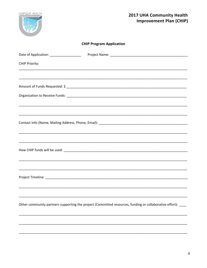

## **CHIP Program Application**

| Date of Application: ____________________ |                                                                                                              |
|-------------------------------------------|--------------------------------------------------------------------------------------------------------------|
| CHIP Priority:                            |                                                                                                              |
|                                           |                                                                                                              |
|                                           |                                                                                                              |
|                                           |                                                                                                              |
|                                           |                                                                                                              |
|                                           |                                                                                                              |
|                                           | ,我们也不能在这里的时候,我们也不能在这里的时候,我们也不能会在这里,我们也不能会在这里的时候,我们也不能会在这里的时候,我们也不能会在这里的时候,我们也不能会                             |
|                                           |                                                                                                              |
|                                           | ,我们也不能会在这里,我们的人们就会在这里,我们的人们就会在这里,我们也不会在这里,我们也不会在这里,我们也不会在这里,我们也不会在这里,我们也不会在这里,我们                             |
|                                           |                                                                                                              |
|                                           |                                                                                                              |
|                                           |                                                                                                              |
|                                           | Other community partners supporting the project (Committed resources, funding or collaborative effort): ____ |
|                                           |                                                                                                              |
|                                           |                                                                                                              |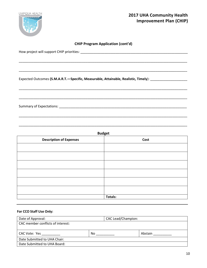

## **CHIP Program Application (cont'd)**

\_\_\_\_\_\_\_\_\_\_\_\_\_\_\_\_\_\_\_\_\_\_\_\_\_\_\_\_\_\_\_\_\_\_\_\_\_\_\_\_\_\_\_\_\_\_\_\_\_\_\_\_\_\_\_\_\_\_\_\_\_\_\_\_\_\_\_\_\_\_\_\_\_\_\_\_\_\_\_\_\_\_\_\_\_\_\_\_\_\_\_

\_\_\_\_\_\_\_\_\_\_\_\_\_\_\_\_\_\_\_\_\_\_\_\_\_\_\_\_\_\_\_\_\_\_\_\_\_\_\_\_\_\_\_\_\_\_\_\_\_\_\_\_\_\_\_\_\_\_\_\_\_\_\_\_\_\_\_\_\_\_\_\_\_\_\_\_\_\_\_\_\_\_\_\_\_\_\_\_\_\_\_

\_\_\_\_\_\_\_\_\_\_\_\_\_\_\_\_\_\_\_\_\_\_\_\_\_\_\_\_\_\_\_\_\_\_\_\_\_\_\_\_\_\_\_\_\_\_\_\_\_\_\_\_\_\_\_\_\_\_\_\_\_\_\_\_\_\_\_\_\_\_\_\_\_\_\_\_\_\_\_\_\_\_\_\_\_\_\_\_\_\_\_

\_\_\_\_\_\_\_\_\_\_\_\_\_\_\_\_\_\_\_\_\_\_\_\_\_\_\_\_\_\_\_\_\_\_\_\_\_\_\_\_\_\_\_\_\_\_\_\_\_\_\_\_\_\_\_\_\_\_\_\_\_\_\_\_\_\_\_\_\_\_\_\_\_\_\_\_\_\_\_\_\_\_\_\_\_\_\_\_\_\_\_

How project will support CHIP priorities: \_\_\_\_\_\_\_\_\_\_\_\_\_\_\_\_\_\_\_\_\_\_\_\_\_\_\_\_\_\_\_\_\_\_\_\_\_\_\_\_\_\_\_\_\_\_\_\_\_\_\_\_\_\_\_\_\_\_

Expected Outcomes **(S.M.A.R.T.—Specific, Measurable, Attainable, Realistic, Timely**): \_\_\_\_\_\_\_\_\_\_\_\_\_\_\_\_\_\_\_\_

Summary of Expectations:  $\blacksquare$ 

| <b>Budget</b>                  |                |  |  |
|--------------------------------|----------------|--|--|
| <b>Description of Expenses</b> | Cost           |  |  |
|                                |                |  |  |
|                                |                |  |  |
|                                |                |  |  |
|                                |                |  |  |
|                                |                |  |  |
|                                |                |  |  |
|                                | <b>Totals:</b> |  |  |

#### **For CCO Staff Use Only:**

| Date of Approval:                 |     | <b>CAC Lead/Champion:</b> |         |
|-----------------------------------|-----|---------------------------|---------|
| CAC member conflicts of interest: |     |                           |         |
|                                   |     |                           |         |
| CAC Vote: Yes                     | No. |                           | Abstain |
| Date Submitted to UHA Chair:      |     |                           |         |
| Date Submitted to UHA Board:      |     |                           |         |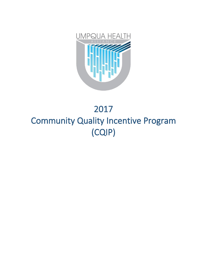

## 2017 Community Quality Incentive Program (CQIP)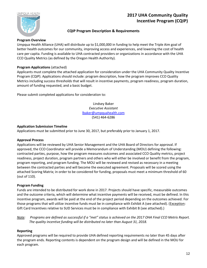

## **2017 UHA Community Quality Incentive Program (CQIP)**

## **CQIP Program Description & Requirements**

#### **Program Overview**

Umpqua Health Alliance (UHA) will distribute up to \$1,000,000 in funding to help meet the Triple Aim goal of better health outcomes for our community, improving access and experiences, and lowering the cost of health care per capita. Funding is available to UHA contracted providers or organizations in accordance with the UHA CCO Quality Metrics (as defined by the Oregon Health Authority).

## **Program Applications** (attached)

Applicants must complete the attached application for consideration under the UHA Community Quality Incentive Program (CQIP). Applications should include: program description, how the program improves CCO Quality Metrics including success thresholds that will result in incentive payments, program readiness, program duration, amount of funding requested, and a basic budget.

Please submit completed applications for consideration to:

Lindsey Baker *Executive Assistant* [lbaker@umpquahealth.com](mailto:lbaker@umpquahealth.com) (541) 464-6286

### **Application Submission Timeline**

Applications must be submitted prior to June 30, 2017, but preferably prior to January 1, 2017.

#### **Approval Process**

Applications will be reviewed by UHA Senior Management and the UHA Board of Directors for approval. If approved, the CCO Coordinator will provide a Memorandum of Understanding (MOU) defining the following: contracted parties, purpose, how the program measures outcomes and associated CCO Quality metrics, project readiness, project duration, program partners and others who will either be involved or benefit from the program, program reporting, and program funding. The MOU will be reviewed and revised as necessary in a meeting between the contracted parties and will become the executed agreement. Proposals will be scored using the attached Scoring Matrix; in order to be considered for funding, proposals must meet a minimum threshold of 60 (out of 110).

## **Program Funding**

Funds are intended to be distributed for work done in 2017. Projects should have specific, measurable outcomes and the outcome criteria, which will determine what incentive payments will be received, must be defined. In this incentive program, awards will be paid at the end of the project period depending on the outcomes achieved. For those programs that will utilize incentive funds must be in compliance with Exhibit A (see attached). (Exception: Gift Card Incentives relative to SUD Services must be in compliance with Exhibit B (see attached).)

*Note: Programs are defined as successful if a "met" status is achieved on the 2017 OHA Final CCO Metris Report. The quality incentive funding will be distributed no later than August 31, 2018.* 

## **Reporting**

Approved programs will be required to provide UHA defined reporting requirements no later than 45 days after the program ends. Reporting contents is dependent on the program design and will be defined in the MOU for each program.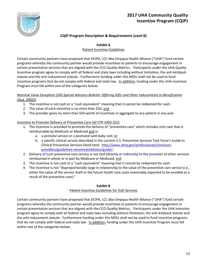

## **CQIP Program Description & Requirements (cont'd)**

### **Exhibit A**

## Patient Incentive Guidelines

Certain community partners have proposed that DCIPA, LCC dba Umpqua Health Alliance ("UHA") fund certain programs whereby the community partner would provide incentives to patients to encourage engagement in certain preventative services that are aligned with the CCO Quality Metrics. Participants under the UHA Quality Incentive program agree to comply with all federal and state laws including without limitation, the anti-kickback statute and the anti-inducement statute. Furthermore funding under this MOU shall not be used to fund incentive programs that do not comply with federal and state law. In addition, funding under the UHA Incentive Program must fall within one of the categories below:

## Nominal Value Exception (*OIG Special Advisory Bulletin: Offering Gifts and Other Inducements to Beneficiaries (Aug. 2002)*):

- 1. The incentive is not cash or a "cash equivalent" meaning that it cannot be redeemed for cash;
- 2. The value of each incentive is no more than \$10; and
- 3. The provider gives no more than \$50 worth of incentives in aggregate to any patient in any year

## Incentive to Promote Delivery of Preventive Care (*42 CFR 1003.101*):

- 1. The incentive is provided to promote the delivery of "preventive care" which includes only care that is reimbursable by Medicare or Medicaid and is:
	- a. a prenatal service or a postnatal well-baby visit; or
	- b. a specific clinical service described in the current U.S. Preventive Services Task Force's Guide to Clinical Preventive Services listed here: [http://www.ahrq.gov/professionals/clinicians](http://www.ahrq.gov/professionals/clinicians-providers/guidelines-recommendations/guide/)[providers/guidelines-recommendations/guide/;](http://www.ahrq.gov/professionals/clinicians-providers/guidelines-recommendations/guide/)
- 2. Delivery of such preventive care service is not tied (directly or indirectly) to the provision of other services reimbursed in whole or in part by Medicare or Medicaid; and
- 3. The incentive is not cash or a "cash equivalent" meaning that it cannot be redeemed for cash.
- 4. The incentive is not "disproportionally large in relationship to the value of the preventive care service (i.e., either the value of the service itself or the future health care costs reasonably expected to be avoided as a result of the preventive care)."

#### **Exhibit B**

## Patient Incentive Guidelines for SUD Services

Certain community partners have proposed that DCIPA, LCC dba Umpqua Health Alliance ("UHA") fund certain programs whereby the community partner would provide incentives to patients to encourage engagement in certain preventative services that are aligned with the CCO Quality Metrics. Participants under the UHA incentive program agree to comply with all federal and state laws including without limitation, the anti-kickback statute and the anti-inducement statute. Furthermore funding under this MOU shall not be used to fund incentive programs that do not comply with federal and state law. In addition, funding under the UHA Incentive Program must fall within one of the categories below: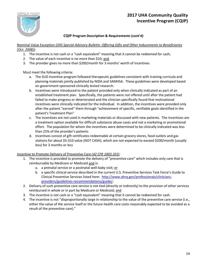

## **CQIP Program Description & Requirements (cont'd)**

Nominal Value Exception (*OIG Special Advisory Bulletin: Offering Gifts and Other Inducements to Beneficiaries (Oct. 2008)*):

- 1. The incentive is not cash or a "cash equivalent" meaning that it cannot be redeemed for cash;
- 2. The value of each incentive is no more than \$10; and
- 3. The provider gives no more than \$200/month for 3 months' worth of incentives

Must meet the following criteria:

- a. The SUD incentive program followed therapeutic guidelines consistent with training curricula and planning materials jointly published by NIDA and SAMHSA. These guidelines were developed based on government sponsored clinically tested research.
- b. Incentives were introduced to the patient provided only when clinically indicated as part of an established treatment plan. Specifically, the patients were not offered until after the patient had failed to make progress or deteriorated and the clinician specifically found that motivational incentives were clinically indicated for the individual. In addition, the incentives were provided only after the patient "earned" them through "achievement of specific, verifiable goals identified in the patient's Treatment Plan"
- c. The incentives are not used in marketing materials or discussed with new patients. The incentives are a treatment option available for difficult substance abuse cases and not a marketing or promotional effort. The population for whom the incentives were determined to be clinically indicated was less than 25% of the provider's patients
- d. Incentives consist of gift certificates redeemable at certain grocery stores, food outlets and gas stations for about \$5-\$10 value (NOT CASH), which are not expected to exceed \$200/month (usually less) for 3 months or less

## Incentive to Promote Delivery of Preventive Care (*42 CFR 1003.101*):

- 1. The incentive is provided to promote the delivery of "preventive care" which includes only care that is reimbursable by Medicare or Medicaid and is:
	- a. a prenatal service or a postnatal well-baby visit; or
	- b. a specific clinical service described in the current U.S. Preventive Services Task Force's Guide to Clinical Preventive Services listed here: [http://www.ahrq.gov/professionals/clinicians](http://www.ahrq.gov/professionals/clinicians-providers/guidelines-recommendations/guide/)[providers/guidelines-recommendations/guide/;](http://www.ahrq.gov/professionals/clinicians-providers/guidelines-recommendations/guide/)
- 2. Delivery of such preventive care service is not tied (directly or indirectly) to the provision of other services reimbursed in whole or in part by Medicare or Medicaid; and
- 3. The incentive is not cash or a "cash equivalent" meaning that it cannot be redeemed for cash.
- 4. The incentive is not "disproportionally large in relationship to the value of the preventive care service (i.e., either the value of the service itself or the future health care costs reasonably expected to be avoided as a result of the preventive care)."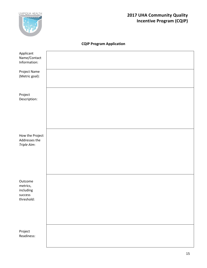

## **2017 UHA Community Quality Incentive Program (CQIP)**

## **CQIP Program Application**

| Applicant<br>Name/Contact<br>Information: |  |
|-------------------------------------------|--|
|                                           |  |
| Project Name<br>(Metric goal):            |  |
|                                           |  |
| Project<br>Description:                   |  |
|                                           |  |
|                                           |  |
|                                           |  |
|                                           |  |
| How the Project<br>Addresses the          |  |
| Triple Aim:                               |  |
|                                           |  |
|                                           |  |
|                                           |  |
|                                           |  |
| Outcome                                   |  |
| metrics,<br>including                     |  |
| success<br>threshold:                     |  |
|                                           |  |
|                                           |  |
|                                           |  |
|                                           |  |
| Project<br>Readiness:                     |  |
|                                           |  |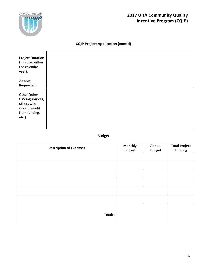

## **2017 UHA Community Quality Incentive Program (CQIP)**

## **CQIP Project Application (cont'd)**

| <b>Project Duration</b><br>(must be within<br>the calendar<br>year):                          |  |
|-----------------------------------------------------------------------------------------------|--|
| Amount<br>Requested:                                                                          |  |
| Other (other<br>funding sources,<br>others who<br>would benefit<br>from funding,<br>$etc.$ ): |  |

## **Budget**

| <b>Description of Expenses</b> | <b>Monthly</b><br><b>Budget</b> | Annual<br><b>Budget</b> | <b>Total Project</b><br><b>Funding</b> |
|--------------------------------|---------------------------------|-------------------------|----------------------------------------|
|                                |                                 |                         |                                        |
|                                |                                 |                         |                                        |
|                                |                                 |                         |                                        |
|                                |                                 |                         |                                        |
|                                |                                 |                         |                                        |
|                                |                                 |                         |                                        |
|                                |                                 |                         |                                        |
| Totals:                        |                                 |                         |                                        |